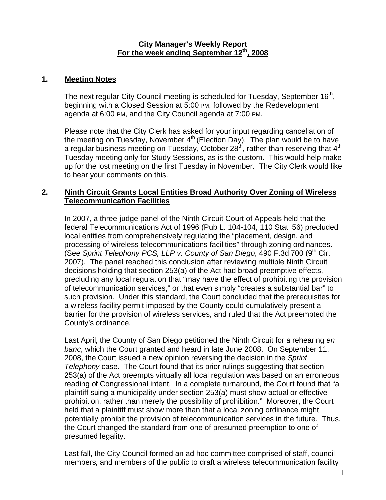#### **City Manager's Weekly Report** For the week ending September 12<sup>th</sup>, 2008

#### **1. Meeting Notes**

The next regular City Council meeting is scheduled for Tuesday, September 16<sup>th</sup>, beginning with a Closed Session at 5:00 PM, followed by the Redevelopment agenda at 6:00 PM, and the City Council agenda at 7:00 PM.

Please note that the City Clerk has asked for your input regarding cancellation of the meeting on Tuesday, November  $4<sup>th</sup>$  (Election Day). The plan would be to have a regular business meeting on Tuesday, October  $28<sup>th</sup>$ , rather than reserving that  $4<sup>th</sup>$ Tuesday meeting only for Study Sessions, as is the custom. This would help make up for the lost meeting on the first Tuesday in November. The City Clerk would like to hear your comments on this.

### **2. Ninth Circuit Grants Local Entities Broad Authority Over Zoning of Wireless Telecommunication Facilities**

In 2007, a three-judge panel of the Ninth Circuit Court of Appeals held that the federal Telecommunications Act of 1996 (Pub L. 104-104, 110 Stat. 56) precluded local entities from comprehensively regulating the "placement, design, and processing of wireless telecommunications facilities" through zoning ordinances. (See Sprint Telephony PCS, LLP v. County of San Diego, 490 F.3d 700 (9<sup>th</sup> Cir. 2007). The panel reached this conclusion after reviewing multiple Ninth Circuit decisions holding that section 253(a) of the Act had broad preemptive effects, precluding any local regulation that "may have the effect of prohibiting the provision of telecommunication services," or that even simply "creates a substantial bar" to such provision. Under this standard, the Court concluded that the prerequisites for a wireless facility permit imposed by the County could cumulatively present a barrier for the provision of wireless services, and ruled that the Act preempted the County's ordinance.

Last April, the County of San Diego petitioned the Ninth Circuit for a rehearing *en banc*, which the Court granted and heard in late June 2008. On September 11, 2008, the Court issued a new opinion reversing the decision in the *Sprint Telephony* case. The Court found that its prior rulings suggesting that section 253(a) of the Act preempts virtually all local regulation was based on an erroneous reading of Congressional intent. In a complete turnaround, the Court found that "a plaintiff suing a municipality under section 253(a) must show actual or effective prohibition, rather than merely the possibility of prohibition." Moreover, the Court held that a plaintiff must show more than that a local zoning ordinance might potentially prohibit the provision of telecommunication services in the future. Thus, the Court changed the standard from one of presumed preemption to one of presumed legality.

Last fall, the City Council formed an ad hoc committee comprised of staff, council members, and members of the public to draft a wireless telecommunication facility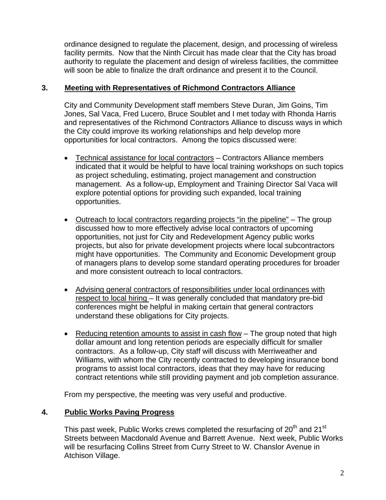ordinance designed to regulate the placement, design, and processing of wireless facility permits. Now that the Ninth Circuit has made clear that the City has broad authority to regulate the placement and design of wireless facilities, the committee will soon be able to finalize the draft ordinance and present it to the Council.

### **3. Meeting with Representatives of Richmond Contractors Alliance**

City and Community Development staff members Steve Duran, Jim Goins, Tim Jones, Sal Vaca, Fred Lucero, Bruce Soublet and I met today with Rhonda Harris and representatives of the Richmond Contractors Alliance to discuss ways in which the City could improve its working relationships and help develop more opportunities for local contractors. Among the topics discussed were:

- Technical assistance for local contractors Contractors Alliance members indicated that it would be helpful to have local training workshops on such topics as project scheduling, estimating, project management and construction management. As a follow-up, Employment and Training Director Sal Vaca will explore potential options for providing such expanded, local training opportunities.
- Outreach to local contractors regarding projects "in the pipeline" The group discussed how to more effectively advise local contractors of upcoming opportunities, not just for City and Redevelopment Agency public works projects, but also for private development projects where local subcontractors might have opportunities. The Community and Economic Development group of managers plans to develop some standard operating procedures for broader and more consistent outreach to local contractors.
- Advising general contractors of responsibilities under local ordinances with respect to local hiring – It was generally concluded that mandatory pre-bid conferences might be helpful in making certain that general contractors understand these obligations for City projects.
- Reducing retention amounts to assist in cash flow The group noted that high dollar amount and long retention periods are especially difficult for smaller contractors. As a follow-up, City staff will discuss with Merriweather and Williams, with whom the City recently contracted to developing insurance bond programs to assist local contractors, ideas that they may have for reducing contract retentions while still providing payment and job completion assurance.

From my perspective, the meeting was very useful and productive.

# **4. Public Works Paving Progress**

This past week, Public Works crews completed the resurfacing of  $20<sup>th</sup>$  and  $21<sup>st</sup>$ Streets between Macdonald Avenue and Barrett Avenue. Next week, Public Works will be resurfacing Collins Street from Curry Street to W. Chanslor Avenue in Atchison Village.